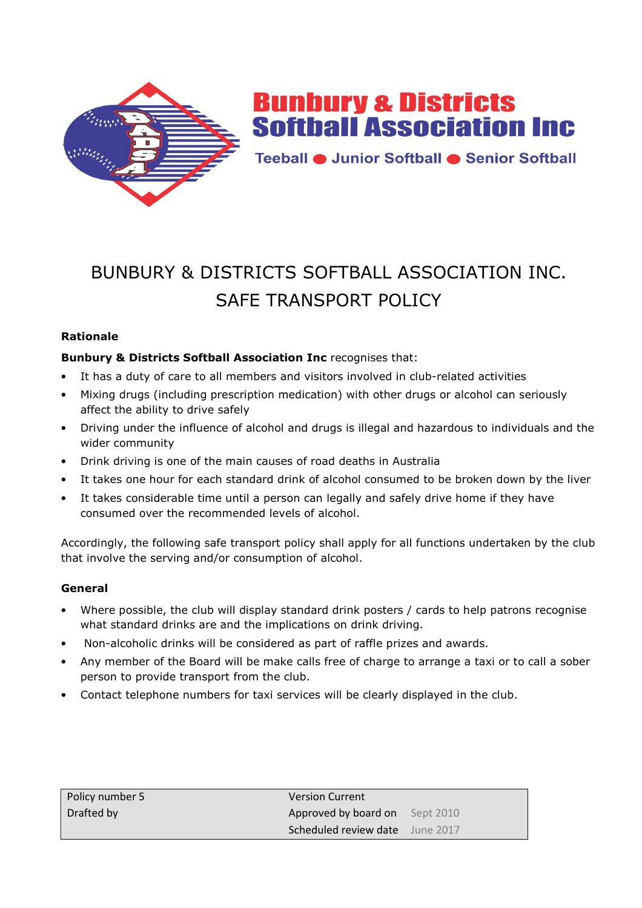

**Bunbury & Districts Softball Association Inc.** 

Teeball · Junior Softball · Senior Softball

# BUNBURY & DISTRICTS SOFTBALL ASSOCIATION INC. SAFE TRANSPORT POLICY

## **Rationale**

## **Bunbury & Districts Softball Association Inc** recognises that:

- It has a duty of care to all members and visitors involved in club-related activities
- Mixing drugs (including prescription medication) with other drugs or alcohol can seriously affect the ability to drive safely
- Driving under the influence of alcohol and drugs is illegal and hazardous to individuals and the wider community
- Drink driving is one of the main causes of road deaths in Australia
- It takes one hour for each standard drink of alcohol consumed to be broken down by the liver
- It takes considerable time until a person can legally and safely drive home if they have consumed over the recommended levels of alcohol.

Accordingly, the following safe transport policy shall apply for all functions undertaken by the club that involve the serving and/or consumption of alcohol.

### **General**

- Where possible, the club will display standard drink posters / cards to help patrons recognise what standard drinks are and the implications on drink driving.
- Non-alcoholic drinks will be considered as part of raffle prizes and awards.
- Any member of the Board will be make calls free of charge to arrange a taxi or to call a sober person to provide transport from the club.
- Contact telephone numbers for taxi services will be clearly displayed in the club.

| Policy number 5 | <b>Version Current</b>                 |  |
|-----------------|----------------------------------------|--|
| Drafted by      | Approved by board on Sept 2010         |  |
|                 | <b>Scheduled review date</b> June 2017 |  |